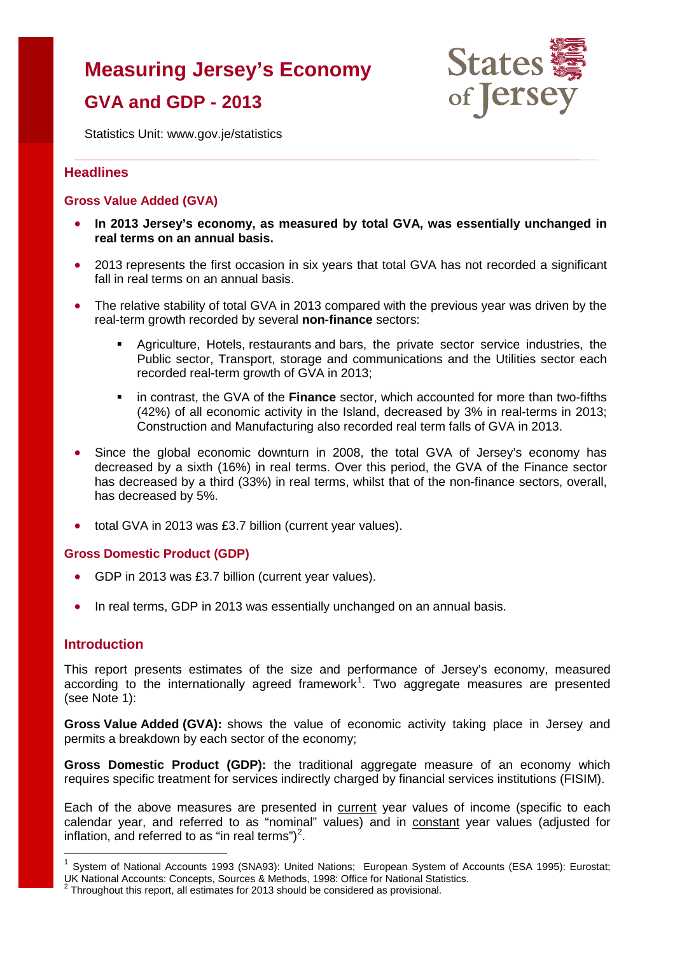# **Measuring Jersey's Economy**

# **GVA and GDP - 2013**



Statistics Unit: www.gov.je/statistics

## **Headlines**

## **Gross Value Added (GVA)**

- **In 2013 Jersey's economy, as measured by total GVA, was essentially unchanged in real terms on an annual basis.**
- 2013 represents the first occasion in six years that total GVA has not recorded a significant fall in real terms on an annual basis.
- The relative stability of total GVA in 2013 compared with the previous year was driven by the real-term growth recorded by several **non-finance** sectors:
	- Agriculture, Hotels, restaurants and bars, the private sector service industries, the Public sector, Transport, storage and communications and the Utilities sector each recorded real-term growth of GVA in 2013;
	- in contrast, the GVA of the **Finance** sector, which accounted for more than two-fifths (42%) of all economic activity in the Island, decreased by 3% in real-terms in 2013; Construction and Manufacturing also recorded real term falls of GVA in 2013.
- Since the global economic downturn in 2008, the total GVA of Jersey's economy has decreased by a sixth (16%) in real terms. Over this period, the GVA of the Finance sector has decreased by a third (33%) in real terms, whilst that of the non-finance sectors, overall, has decreased by 5%.
- total GVA in 2013 was £3.7 billion (current year values).

#### **Gross Domestic Product (GDP)**

- GDP in 2013 was £3.7 billion (current year values).
- In real terms, GDP in 2013 was essentially unchanged on an annual basis.

## **Introduction**

 $\overline{a}$ 

This report presents estimates of the size and performance of Jersey's economy, measured according to the internationally agreed framework<sup>[1](#page-0-0)</sup>. Two aggregate measures are presented (see Note 1):

**Gross Value Added (GVA):** shows the value of economic activity taking place in Jersey and permits a breakdown by each sector of the economy;

**Gross Domestic Product (GDP):** the traditional aggregate measure of an economy which requires specific treatment for services indirectly charged by financial services institutions (FISIM).

Each of the above measures are presented in current year values of income (specific to each calendar year, and referred to as "nominal" values) and in constant year values (adjusted for inflation, and referred to as "in real terms")<sup>[2](#page-0-1)</sup>.

<span id="page-0-0"></span><sup>&</sup>lt;sup>1</sup> System of National Accounts 1993 (SNA93): United Nations; European System of Accounts (ESA 1995): Eurostat; UK National Accounts: Concepts, Sources & Methods, 1998: Office for National Statistics. <sup>2</sup> Throughout this report, all estimates for 2013 should be considered as provisional.

<span id="page-0-1"></span>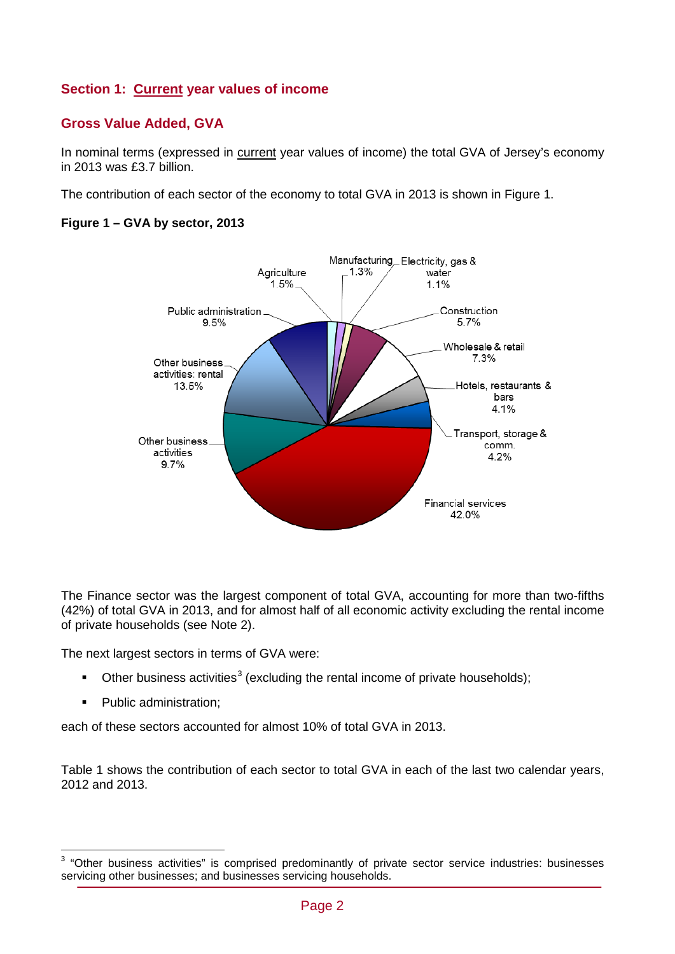# **Section 1: Current year values of income**

# **Gross Value Added, GVA**

In nominal terms (expressed in current year values of income) the total GVA of Jersey's economy in 2013 was £3.7 billion.

The contribution of each sector of the economy to total GVA in 2013 is shown in Figure 1.

## **Figure 1 – GVA by sector, 2013**



The Finance sector was the largest component of total GVA, accounting for more than two-fifths (42%) of total GVA in 2013, and for almost half of all economic activity excluding the rental income of private households (see Note 2).

The next largest sectors in terms of GVA were:

- Other business activities<sup>[3](#page-1-0)</sup> (excluding the rental income of private households);
- **Public administration:**

 $\overline{a}$ 

each of these sectors accounted for almost 10% of total GVA in 2013.

Table 1 shows the contribution of each sector to total GVA in each of the last two calendar years, 2012 and 2013.

<span id="page-1-0"></span> $3$  "Other business activities" is comprised predominantly of private sector service industries: businesses servicing other businesses; and businesses servicing households.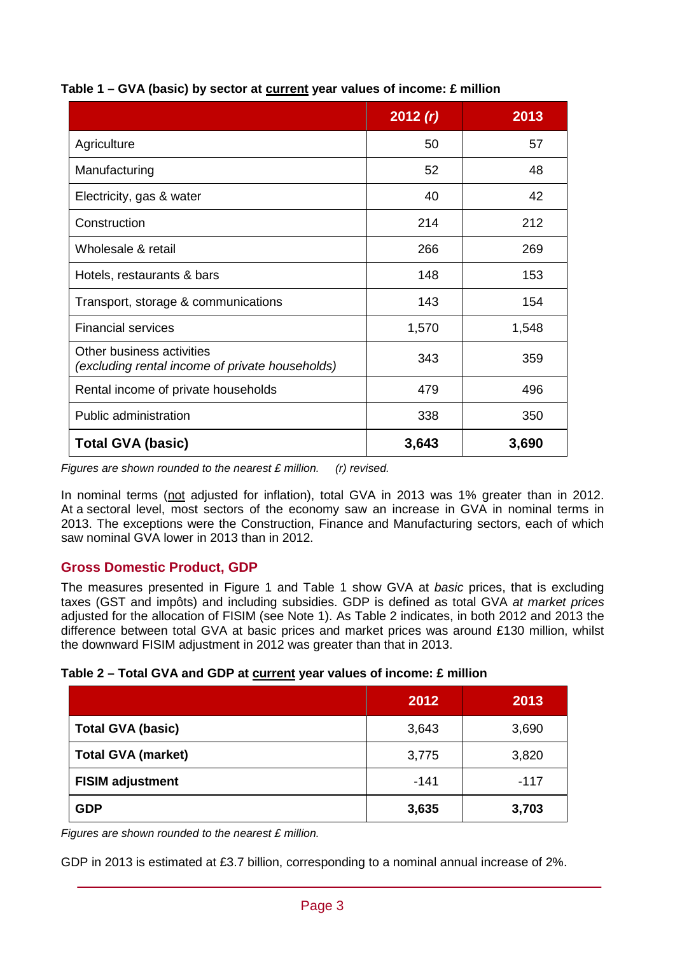|                                                                              | 2012(r) | 2013  |
|------------------------------------------------------------------------------|---------|-------|
| Agriculture                                                                  | 50      | 57    |
| Manufacturing                                                                | 52      | 48    |
| Electricity, gas & water                                                     | 40      | 42    |
| Construction                                                                 | 214     | 212   |
| Wholesale & retail                                                           | 266     | 269   |
| Hotels, restaurants & bars                                                   | 148     | 153   |
| Transport, storage & communications                                          | 143     | 154   |
| <b>Financial services</b>                                                    | 1,570   | 1,548 |
| Other business activities<br>(excluding rental income of private households) | 343     | 359   |
| Rental income of private households                                          | 479     | 496   |
| Public administration                                                        | 338     | 350   |
| <b>Total GVA (basic)</b>                                                     | 3,643   | 3,690 |

# **Table 1 – GVA (basic) by sector at current year values of income: £ million**

*Figures are shown rounded to the nearest £ million. (r) revised.*

In nominal terms (not adjusted for inflation), total GVA in 2013 was 1% greater than in 2012. At a sectoral level, most sectors of the economy saw an increase in GVA in nominal terms in 2013. The exceptions were the Construction, Finance and Manufacturing sectors, each of which saw nominal GVA lower in 2013 than in 2012.

# **Gross Domestic Product, GDP**

The measures presented in Figure 1 and Table 1 show GVA at *basic* prices, that is excluding taxes (GST and impôts) and including subsidies. GDP is defined as total GVA *at market prices* adjusted for the allocation of FISIM (see Note 1). As Table 2 indicates, in both 2012 and 2013 the difference between total GVA at basic prices and market prices was around £130 million, whilst the downward FISIM adjustment in 2012 was greater than that in 2013.

|  |  |  | Table 2 – Total GVA and GDP at current year values of income: £ million |  |
|--|--|--|-------------------------------------------------------------------------|--|
|--|--|--|-------------------------------------------------------------------------|--|

|                           | 2012   | 2013   |
|---------------------------|--------|--------|
| <b>Total GVA (basic)</b>  | 3,643  | 3,690  |
| <b>Total GVA (market)</b> | 3,775  | 3,820  |
| <b>FISIM adjustment</b>   | $-141$ | $-117$ |
| <b>GDP</b>                | 3,635  | 3,703  |

*Figures are shown rounded to the nearest £ million.*

GDP in 2013 is estimated at £3.7 billion, corresponding to a nominal annual increase of 2%.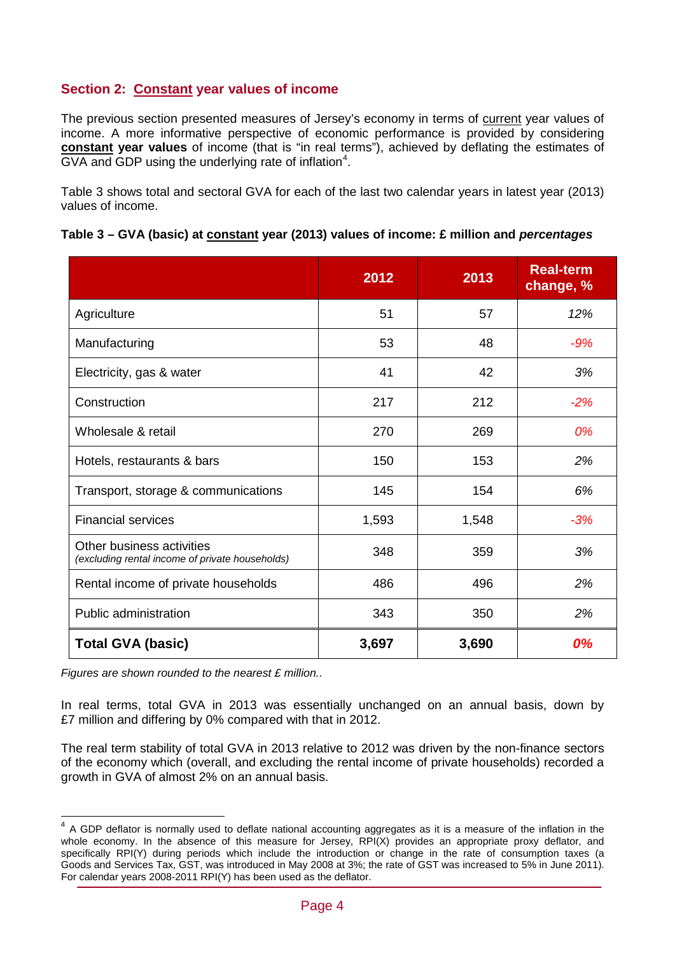# **Section 2: Constant year values of income**

The previous section presented measures of Jersey's economy in terms of current year values of income. A more informative perspective of economic performance is provided by considering **constant year values** of income (that is "in real terms"), achieved by deflating the estimates of  $\overline{\textsf{GVA}}$  and  $\textsf{GDP}$  using the underlying rate of inflation<sup>[4](#page-3-0)</sup>.

Table 3 shows total and sectoral GVA for each of the last two calendar years in latest year (2013) values of income.

|                                                                              | 2012  | 2013  | <b>Real-term</b><br>change, % |
|------------------------------------------------------------------------------|-------|-------|-------------------------------|
| Agriculture                                                                  | 51    | 57    | 12%                           |
| Manufacturing                                                                | 53    | 48    | $-9%$                         |
| Electricity, gas & water                                                     | 41    | 42    | 3%                            |
| Construction                                                                 | 217   | 212   | $-2%$                         |
| Wholesale & retail                                                           | 270   | 269   | 0%                            |
| Hotels, restaurants & bars                                                   | 150   | 153   | 2%                            |
| Transport, storage & communications                                          | 145   | 154   | 6%                            |
| <b>Financial services</b>                                                    | 1,593 | 1,548 | $-3%$                         |
| Other business activities<br>(excluding rental income of private households) | 348   | 359   | 3%                            |
| Rental income of private households                                          | 486   | 496   | 2%                            |
| Public administration                                                        | 343   | 350   | 2%                            |
| <b>Total GVA (basic)</b>                                                     | 3,697 | 3,690 | 0%                            |

|  |  |  | Table 3 – GVA (basic) at constant year (2013) values of income: £ million and percentages |  |
|--|--|--|-------------------------------------------------------------------------------------------|--|
|--|--|--|-------------------------------------------------------------------------------------------|--|

*Figures are shown rounded to the nearest £ million..*

 $\overline{\phantom{a}}$ 

In real terms, total GVA in 2013 was essentially unchanged on an annual basis, down by £7 million and differing by 0% compared with that in 2012.

The real term stability of total GVA in 2013 relative to 2012 was driven by the non-finance sectors of the economy which (overall, and excluding the rental income of private households) recorded a growth in GVA of almost 2% on an annual basis.

<span id="page-3-0"></span><sup>&</sup>lt;sup>4</sup> A GDP deflator is normally used to deflate national accounting aggregates as it is a measure of the inflation in the whole economy. In the absence of this measure for Jersey, RPI(X) provides an appropriate proxy deflator, and specifically RPI(Y) during periods which include the introduction or change in the rate of consumption taxes (a Goods and Services Tax, GST, was introduced in May 2008 at 3%; the rate of GST was increased to 5% in June 2011). For calendar years 2008-2011 RPI(Y) has been used as the deflator.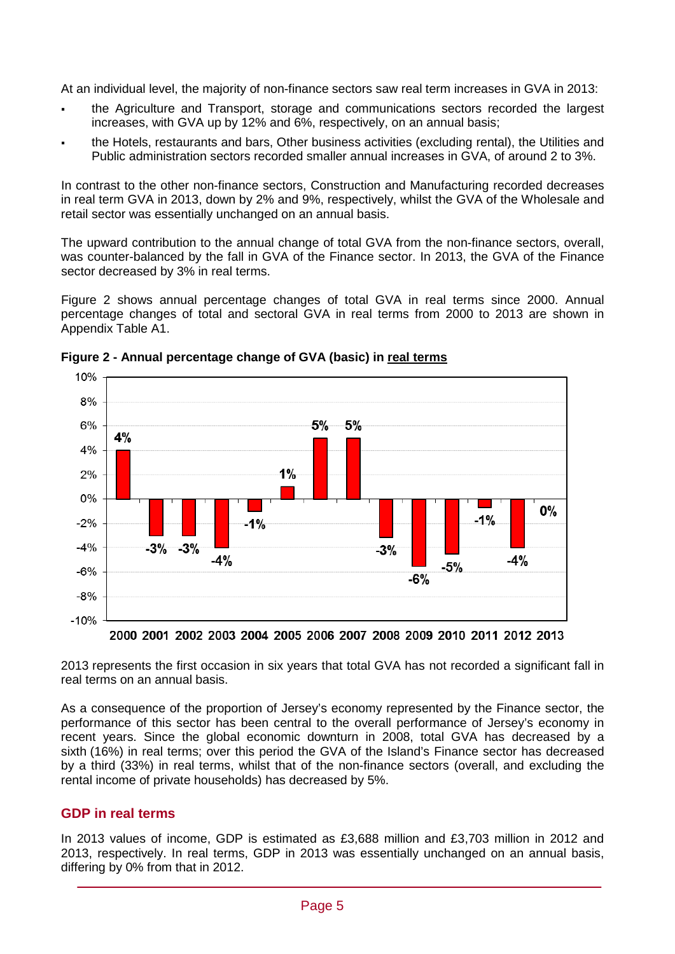At an individual level, the majority of non-finance sectors saw real term increases in GVA in 2013:

- the Agriculture and Transport, storage and communications sectors recorded the largest increases, with GVA up by 12% and 6%, respectively, on an annual basis;
- the Hotels, restaurants and bars, Other business activities (excluding rental), the Utilities and Public administration sectors recorded smaller annual increases in GVA, of around 2 to 3%.

In contrast to the other non-finance sectors, Construction and Manufacturing recorded decreases in real term GVA in 2013, down by 2% and 9%, respectively, whilst the GVA of the Wholesale and retail sector was essentially unchanged on an annual basis.

The upward contribution to the annual change of total GVA from the non-finance sectors, overall, was counter-balanced by the fall in GVA of the Finance sector. In 2013, the GVA of the Finance sector decreased by 3% in real terms.

Figure 2 shows annual percentage changes of total GVA in real terms since 2000. Annual percentage changes of total and sectoral GVA in real terms from 2000 to 2013 are shown in Appendix Table A1.



**Figure 2 - Annual percentage change of GVA (basic) in real terms**

2000 2001 2002 2003 2004 2005 2006 2007 2008 2009 2010 2011 2012 2013

2013 represents the first occasion in six years that total GVA has not recorded a significant fall in real terms on an annual basis.

As a consequence of the proportion of Jersey's economy represented by the Finance sector, the performance of this sector has been central to the overall performance of Jersey's economy in recent years. Since the global economic downturn in 2008, total GVA has decreased by a sixth (16%) in real terms; over this period the GVA of the Island's Finance sector has decreased by a third (33%) in real terms, whilst that of the non-finance sectors (overall, and excluding the rental income of private households) has decreased by 5%.

## **GDP in real terms**

In 2013 values of income, GDP is estimated as £3,688 million and £3,703 million in 2012 and 2013, respectively. In real terms, GDP in 2013 was essentially unchanged on an annual basis, differing by 0% from that in 2012.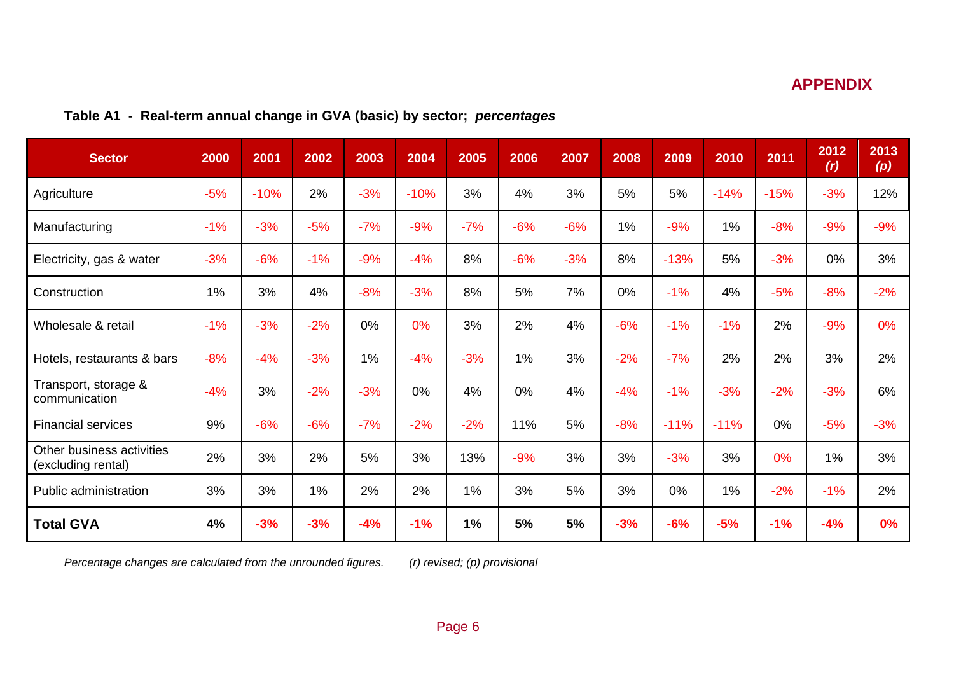# **APPENDIX**

|  |  |  | Table A1 - Real-term annual change in GVA (basic) by sector; percentages |  |
|--|--|--|--------------------------------------------------------------------------|--|
|--|--|--|--------------------------------------------------------------------------|--|

| <b>Sector</b>                                   | 2000  | 2001   | 2002  | 2003  | 2004   | 2005  | 2006  | 2007  | 2008  | 2009   | 2010   | 2011   | 2012<br>(r) | 2013<br>(p) |
|-------------------------------------------------|-------|--------|-------|-------|--------|-------|-------|-------|-------|--------|--------|--------|-------------|-------------|
| Agriculture                                     | $-5%$ | $-10%$ | 2%    | $-3%$ | $-10%$ | 3%    | 4%    | 3%    | 5%    | 5%     | $-14%$ | $-15%$ | $-3%$       | 12%         |
| Manufacturing                                   | $-1%$ | $-3%$  | $-5%$ | $-7%$ | $-9%$  | $-7%$ | $-6%$ | $-6%$ | 1%    | $-9%$  | 1%     | $-8%$  | $-9%$       | $-9%$       |
| Electricity, gas & water                        | $-3%$ | $-6%$  | $-1%$ | $-9%$ | $-4%$  | 8%    | $-6%$ | $-3%$ | 8%    | $-13%$ | 5%     | $-3%$  | 0%          | 3%          |
| Construction                                    | 1%    | 3%     | 4%    | $-8%$ | $-3%$  | 8%    | 5%    | 7%    | 0%    | $-1%$  | 4%     | $-5%$  | $-8%$       | $-2%$       |
| Wholesale & retail                              | $-1%$ | $-3%$  | $-2%$ | 0%    | 0%     | 3%    | 2%    | 4%    | $-6%$ | $-1%$  | $-1%$  | 2%     | $-9%$       | 0%          |
| Hotels, restaurants & bars                      | $-8%$ | $-4%$  | $-3%$ | 1%    | $-4%$  | $-3%$ | 1%    | 3%    | $-2%$ | $-7%$  | 2%     | 2%     | 3%          | 2%          |
| Transport, storage &<br>communication           | $-4%$ | 3%     | $-2%$ | $-3%$ | 0%     | 4%    | 0%    | 4%    | $-4%$ | $-1%$  | $-3%$  | $-2%$  | $-3%$       | 6%          |
| <b>Financial services</b>                       | 9%    | $-6%$  | $-6%$ | $-7%$ | $-2%$  | $-2%$ | 11%   | 5%    | $-8%$ | $-11%$ | $-11%$ | 0%     | $-5%$       | $-3%$       |
| Other business activities<br>(excluding rental) | 2%    | 3%     | 2%    | 5%    | 3%     | 13%   | $-9%$ | 3%    | 3%    | $-3%$  | 3%     | 0%     | 1%          | 3%          |
| Public administration                           | 3%    | 3%     | 1%    | 2%    | 2%     | 1%    | 3%    | 5%    | 3%    | 0%     | 1%     | $-2%$  | $-1%$       | 2%          |
| <b>Total GVA</b>                                | 4%    | $-3%$  | $-3%$ | $-4%$ | $-1%$  | 1%    | 5%    | 5%    | $-3%$ | $-6%$  | $-5%$  | $-1%$  | $-4%$       | 0%          |

*Percentage changes are calculated from the unrounded figures. (r) revised; (p) provisional*